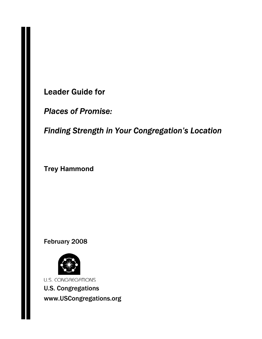Leader Guide for

*Places of Promise:* 

*Finding Strength in Your Congregation's Location* 

**Trey Hammond** 

February 2008



**U.S. CONGREGATIONS** U.S. Congregations www.USCongregations.org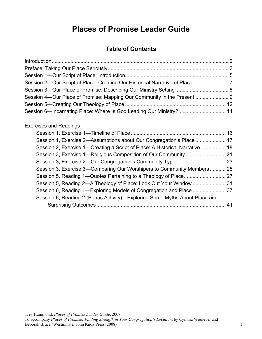# **Places of Promise Leader Guide**

## **Table of Contents**

## Exercises and Readings

| Session 1, Exercise 2—Assumptions about Our Congregation's Place  17         |    |
|------------------------------------------------------------------------------|----|
| Session 2, Exercise 1—Creating a Script of Place: A Historical Narrative  18 |    |
|                                                                              |    |
|                                                                              |    |
| Session 3, Exercise 3—Comparing Our Worshipers to Community Members 25       |    |
|                                                                              |    |
|                                                                              |    |
|                                                                              |    |
| Session 6, Reading 2 (Bonus Activity)—Exploring Some Myths About Place and   |    |
|                                                                              | 41 |
|                                                                              |    |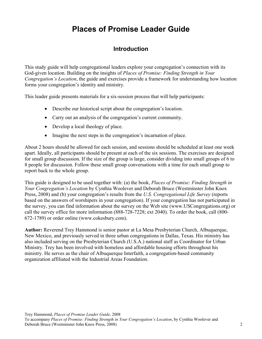# **Places of Promise Leader Guide**

## **Introduction**

This study guide will help congregational leaders explore your congregation's connection with its God-given location. Building on the insights of *Places of Promise: Finding Strength in Your Congregation's Location*, the guide and exercises provide a framework for understanding how location forms your congregation's identity and ministry.

This leader guide presents materials for a six-session process that will help participants:

- Describe our historical script about the congregation's location.
- Carry out an analysis of the congregation's current community.
- Develop a local theology of place.
- Imagine the next steps in the congregation's incarnation of place.

About 2 hours should be allowed for each session, and sessions should be scheduled at least one week apart. Ideally, all participants should be present at each of the six sessions. The exercises are designed for small group discussion. If the size of the group is large, consider dividing into small groups of 6 to 8 people for discussion. Follow these small group conversations with a time for each small group to report back to the whole group.

This guide is designed to be used together with: (a) the book, *Places of Promise: Finding Strength in Your Congregation's Location* by Cynthia Woolever and Deborah Bruce (Westminster John Knox Press, 2008) and (b) your congregation's results from the *U.S. Congregational Life Survey* (reports based on the answers of worshipers in your congregation). If your congregation has not participated in the survey, you can find information about the survey on the Web site (www.USCongregations.org) or call the survey office for more information (888-728-7228; ext 2040). To order the book, call (800- 672-1789) or order online (www.cokesbury.com).

**Author:** Reverend Trey Hammond is senior pastor at La Mesa Presbyterian Church, Albuquerque, New Mexico, and previously served in three urban congregations in Dallas, Texas. His ministry has also included serving on the Presbyterian Church (U.S.A.) national staff as Coordinator for Urban Ministry. Trey has been involved with homeless and affordable housing efforts throughout his ministry. He serves as the chair of Albuquerque Interfaith, a congregation-based community organization affiliated with the Industrial Areas Foundation.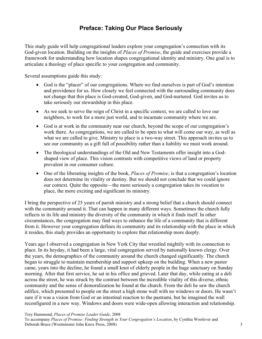## **Preface: Taking Our Place Seriously**

This study guide will help congregational leaders explore your congregation's connection with its God-given location. Building on the insights of *Places of Promise*, the guide and exercises provide a framework for understanding how location shapes congregational identity and ministry. One goal is to articulate a theology of place specific to your congregation and community.

Several assumptions guide this study:

- God is the "placer" of our congregations. Where we find ourselves is part of God's intention and providence for us. How closely we feel connected with the surrounding community does not change that this place is God-created, God-given, and God-nurtured. God invites us to take seriously our stewardship in this place.
- As we seek to serve the reign of Christ in a specific context, we are called to love our neighbors, to work for a more just world, and to incarnate community where we are.
- God is at work in the community near our church, beyond the scope of our congregation's work there. As congregations, we are called to be open to what will come our way, as well as what we are called to give. Ministry to place is a two-way street. This approach invites us to see our community as a gift full of possibility rather than a liability we must work around.
- The theological understandings of the Old and New Testaments offer insight into a Godshaped view of place. This vision contrasts with competitive views of land or property prevalent in our consumer culture.
- One of the liberating insights of the book, *Places of Promise*, is that a congregation's location does not determine its vitality or destiny. But we should not conclude that we could ignore our context. Quite the opposite—the more seriously a congregation takes its vocation to place, the more exciting and significant its ministry.

I bring the perspective of 25 years of parish ministry and a strong belief that a church should connect with the community around it. That can happen in many different ways. Sometimes the church fully reflects in its life and ministry the diversity of the community in which it finds itself. In other circumstances, the congregation may find ways to enhance the life of a community that is different from it. However your congregation defines its community and its relationship with the place in which it resides, this study provides an opportunity to explore that relationship more deeply.

Years ago I observed a congregation in New York City that wrestled mightily with its connection to place. In its heyday, it had been a large, vital congregation served by nationally known clergy. Over the years, the demographics of the community around the church changed significantly. The church began to struggle to maintain membership and support upkeep on the building. When a new pastor came, years into the decline, he found a small knot of elderly people in the huge sanctuary on Sunday morning. After that first service, he sat in his office and grieved. Later that day, while eating at a deli across the street, he was struck by the contrast between the incredible vitality of this diverse, ethnic community and the sense of demoralization he found at the church. From the deli he saw the church edifice, which presented to people on the street a high stone wall with no windows or doors. He wasn't sure if it was a vision from God or an intestinal reaction to the pastrami, but he imagined the wall reconfigured in a new way. Windows and doors were wide-open allowing interaction and relationship.

Trey Hammond, *Places of Promise Leader Guide*, 2008 To accompany *Places of Promise: Finding Strength in Your Congregation's Location*, by Cynthia Woolever and Deborah Bruce (Westminster John Knox Press, 2008) 3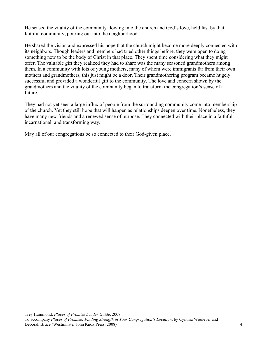He sensed the vitality of the community flowing into the church and God's love, held fast by that faithful community, pouring out into the neighborhood.

He shared the vision and expressed his hope that the church might become more deeply connected with its neighbors. Though leaders and members had tried other things before, they were open to doing something new to be the body of Christ in that place. They spent time considering what they might offer. The valuable gift they realized they had to share was the many seasoned grandmothers among them. In a community with lots of young mothers, many of whom were immigrants far from their own mothers and grandmothers, this just might be a door. Their grandmothering program became hugely successful and provided a wonderful gift to the community. The love and concern shown by the grandmothers and the vitality of the community began to transform the congregation's sense of a future.

They had not yet seen a large influx of people from the surrounding community come into membership of the church. Yet they still hope that will happen as relationships deepen over time. Nonetheless, they have many new friends and a renewed sense of purpose. They connected with their place in a faithful, incarnational, and transforming way.

May all of our congregations be so connected to their God-given place.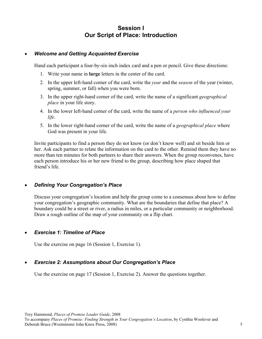## **Session I Our Script of Place: Introduction**

### • *Welcome and Getting Acquainted Exercise*

Hand each participant a four-by-six-inch index card and a pen or pencil. Give these directions:

- 1. Write your name in **large** letters in the center of the card.
- 2. In the upper left-hand corner of the card, write the *year* and the *season* of the year (winter, spring, summer, or fall) when you were born.
- 3. In the upper right-hand corner of the card, write the name of a significant *geographical place* in your life story.
- 4. In the lower left-hand corner of the card, write the name of a *person who influenced your life*.
- 5. In the lower right-hand corner of the card, write the name of a *geographical place* where God was present in your life.

Invite participants to find a person they do not know (or don't know well) and sit beside him or her. Ask each partner to relate the information on the card to the other. Remind them they have no more than ten minutes for both partners to share their answers. When the group reconvenes, have each person introduce his or her new friend to the group, describing how place shaped that friend's life.

### • *Defining Your Congregation's Place*

Discuss your congregation's location and help the group come to a consensus about how to define your congregation's geographic community. What are the boundaries that define that place? A boundary could be a street or river, a radius in miles, or a particular community or neighborhood. Draw a rough outline of the map of your community on a flip chart.

## • *Exercise 1: Timeline of Place*

Use the exercise on page 16 (Session 1, Exercise 1).

## • *Exercise 2: Assumptions about Our Congregation's Place*

Use the exercise on page 17 (Session 1, Exercise 2). Answer the questions together.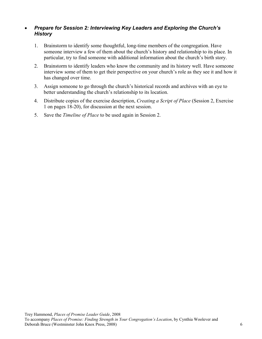## • *Prepare for Session 2: Interviewing Key Leaders and Exploring the Church's History*

- 1. Brainstorm to identify some thoughtful, long-time members of the congregation. Have someone interview a few of them about the church's history and relationship to its place. In particular, try to find someone with additional information about the church's birth story.
- 2. Brainstorm to identify leaders who know the community and its history well. Have someone interview some of them to get their perspective on your church's role as they see it and how it has changed over time.
- 3. Assign someone to go through the church's historical records and archives with an eye to better understanding the church's relationship to its location.
- 4. Distribute copies of the exercise description, *Creating a Script of Place* (Session 2, Exercise 1 on pages 18-20), for discussion at the next session.
- 5. Save the *Timeline of Place* to be used again in Session 2.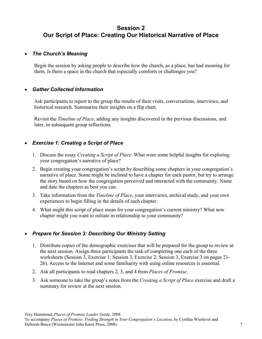## **Session 2 Our Script of Place: Creating Our Historical Narrative of Place**

## • *The Church's Meaning*

Begin the session by asking people to describe how the church, as a place, has had meaning for them. Is there a space in the church that especially comforts or challenges you?

## • *Gather Collected Information*

Ask participants to report to the group the results of their visits, conversations, interviews, and historical research. Summarize their insights on a flip chart.

Revisit the *Timeline of Place*, adding any insights discovered in the previous discussions, and later, in subsequent group reflections.

## • *Exercise 1: Creating a Script of Place*

- 1. Discuss the essay *Creating a Script of Place*. What were some helpful insights for exploring your congregation's narrative of place?
- 2. Begin creating your congregation's script by describing some chapters in your congregation's narrative of place. Some might be inclined to have a chapter for each pastor, but try to arrange the story based on how the congregation perceived and interacted with the community. Name and date the chapters as best you can.
- 3. Take information from the *Timeline of Place*, your interviews, archival study, and your own experiences to begin filling in the details of each chapter.
- 4. What might this script of place mean for your congregation's current ministry? What new chapter might you want to initiate in relationship to your community?

## • *Prepare for Session 3: Describing Our Ministry Setting*

- 1. Distribute copies of the demographic exercises that will be prepared for the group to review at the next session. Assign three participants the task of completing one each of the three worksheets (Session 3, Exercise 1; Session 3, Exercise 2; Session 3, Exercise 3 on pages 21- 26). Access to the Internet and some familiarity with using online resources is essential.
- 2. Ask all participants to read chapters 2, 3, and 4 from *Places of Promise*.
- 3. Ask someone to take the group's notes from the *Creating a Script of Place* exercise and draft a summary for review at the next session.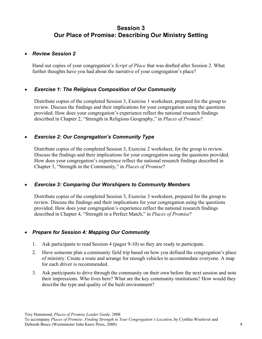## **Session 3 Our Place of Promise: Describing Our Ministry Setting**

### • *Review Session 2*

Hand out copies of your congregation's *Script of Place* that was drafted after Session 2. What further thoughts have you had about the narrative of your congregation's place?

## • *Exercise 1: The Religious Composition of Our Community*

Distribute copies of the completed Session 3, Exercise 1 worksheet, prepared for the group to review. Discuss the findings and their implications for your congregation using the questions provided. How does your congregation's experience reflect the national research findings described in Chapter 2, "Strength in Religious Geography," in *Places of Promise*?

## • *Exercise 2: Our Congregation's Community Type*

Distribute copies of the completed Session 3, Exercise 2 worksheet, for the group to review. Discuss the findings and their implications for your congregation using the questions provided. How does your congregation's experience reflect the national research findings described in Chapter 3, "Strength in the Community," in *Places of Promise*?

## • *Exercise 3: Comparing Our Worshipers to Community Members*

Distribute copies of the completed Session 3, Exercise 3 worksheet, prepared for the group to review. Discuss the findings and their implications for your congregation using the questions provided. How does your congregation's experience reflect the national research findings described in Chapter 4, "Strength in a Perfect Match," in *Places of Promise*?

### • *Prepare for Session 4: Mapping Our Community*

- 1. Ask participants to read Session 4 (pages 9-10) so they are ready to participate.
- 2. Have someone plan a community field trip based on how you defined the congregation's place of ministry. Create a route and arrange for enough vehicles to accommodate everyone. A map for each driver is recommended.
- 3. Ask participants to drive through the community on their own before the next session and note their impressions. Who lives here? What are the key community institutions? How would they describe the type and quality of the built environment?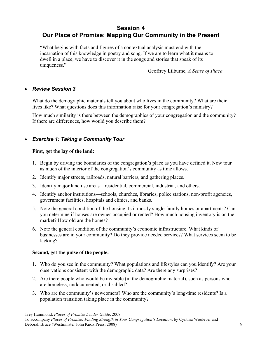## **Session 4 Our Place of Promise: Mapping Our Community in the Present**

"What begins with facts and figures of a contextual analysis must end with the incarnation of this knowledge in poetry and song. If we are to learn what it means to dwell in a place, we have to discover it in the songs and stories that speak of its uniqueness."

Geoffrey Lilburne, *A Sense of Place*<sup>1</sup>

## • *Review Session 3*

What do the demographic materials tell you about who lives in the community? What are their lives like? What questions does this information raise for your congregation's ministry?

How much similarity is there between the demographics of your congregation and the community? If there are differences, how would you describe them?

## • *Exercise 1: Taking a Community Tour*

### **First, get the lay of the land:**

- 1. Begin by driving the boundaries of the congregation's place as you have defined it. Now tour as much of the interior of the congregation's community as time allows.
- 2. Identify major streets, railroads, natural barriers, and gathering places.
- 3. Identify major land use areas—residential, commercial, industrial, and others.
- 4. Identify anchor institutions—schools, churches, libraries, police stations, non-profit agencies, government facilities, hospitals and clinics, and banks.
- 5. Note the general condition of the housing. Is it mostly single-family homes or apartments? Can you determine if houses are owner-occupied or rented? How much housing inventory is on the market? How old are the homes?
- 6. Note the general condition of the community's economic infrastructure. What kinds of businesses are in your community? Do they provide needed services? What services seem to be lacking?

### **Second, get the pulse of the people:**

- 1. Who do you see in the community? What populations and lifestyles can you identify? Are your observations consistent with the demographic data? Are there any surprises?
- 2. Are there people who would be invisible (in the demographic material), such as persons who are homeless, undocumented, or disabled?
- 3. Who are the community's newcomers? Who are the community's long-time residents? Is a population transition taking place in the community?

Trey Hammond, *Places of Promise Leader Guide*, 2008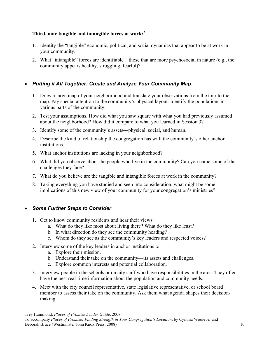## **Third, note tangible and intangible forces at work: 2**

- 1. Identity the "tangible" economic, political, and social dynamics that appear to be at work in your community.
- 2. What "intangible" forces are identifiable—those that are more psychosocial in nature (e.g., the community appears healthy, struggling, fearful)?

## • *Putting it All Together: Create and Analyze Your Community Map*

- 1. Draw a large map of your neighborhood and translate your observations from the tour to the map. Pay special attention to the community's physical layout. Identify the populations in various parts of the community.
- 2. Test your assumptions. How did what you saw square with what you had previously assumed about the neighborhood? How did it compare to what you learned in Session 3?
- 3. Identify some of the community's assets—physical, social, and human.
- 4. Describe the kind of relationship the congregation has with the community's other anchor institutions.
- 5. What anchor institutions are lacking in your neighborhood?
- 6. What did you observe about the people who live in the community? Can you name some of the challenges they face?
- 7. What do you believe are the tangible and intangible forces at work in the community?
- 8. Taking everything you have studied and seen into consideration, what might be some implications of this new view of your community for your congregation's ministries?

## • *Some Further Steps to Consider*

- 1. Get to know community residents and hear their views:
	- a. What do they like most about living there? What do they like least?
	- b. In what direction do they see the community heading?
	- c. Whom do they see as the community's key leaders and respected voices?
- 2. Interview some of the key leaders in anchor institutions to:
	- a. Explore their mission.
	- b. Understand their take on the community—its assets and challenges.
	- c. Explore common interests and potential collaboration.
- 3. Interview people in the schools or on city staff who have responsibilities in the area. They often have the best real-time information about the population and community needs.
- 4. Meet with the city council representative, state legislative representative, or school board member to assess their take on the community. Ask them what agenda shapes their decisionmaking.

Trey Hammond, *Places of Promise Leader Guide*, 2008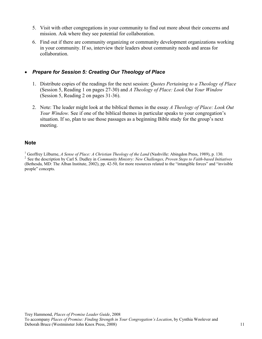- 5. Visit with other congregations in your community to find out more about their concerns and mission. Ask where they see potential for collaboration.
- 6. Find out if there are community organizing or community development organizations working in your community. If so, interview their leaders about community needs and areas for collaboration.

## • *Prepare for Session 5: Creating Our Theology of Place*

- 1. Distribute copies of the readings for the next session: *Quotes Pertaining to a Theology of Place*  (Session 5, Reading 1 on pages 27-30) and *A Theology of Place: Look Out Your Window* (Session 5, Reading 2 on pages 31-36).
- 2. Note: The leader might look at the biblical themes in the essay *A Theology of Place: Look Out Your Window.* See if one of the biblical themes in particular speaks to your congregation's situation. If so, plan to use those passages as a beginning Bible study for the group's next meeting.

## **Note**

<sup>1</sup> Geoffrey Lilburne, A Sense of Place: A Christian Theology of the Land (Nashville: Abingdon Press, 1989), p. 130. <sup>2</sup> See the description by Carl S. Dudley in *Community Ministry: New Challenges, Proven Steps to Faith-based Initiatives* (Bethesda, MD: The Alban Institute, 2002), pp. 42-50, for more resources related to the "intangible forces" and "invisible people" concepts.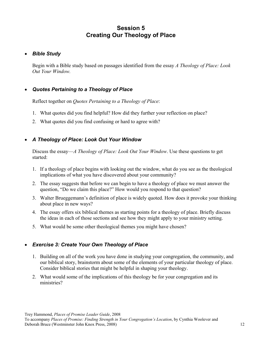## **Session 5 Creating Our Theology of Place**

## • *Bible Study*

Begin with a Bible study based on passages identified from the essay *A Theology of Place: Look Out Your Window.* 

## • *Quotes Pertaining to a Theology of Place*

Reflect together on *Quotes Pertaining to a Theology of Place*:

- 1. What quotes did you find helpful? How did they further your reflection on place?
- 2. What quotes did you find confusing or hard to agree with?

## • *A Theology of Place: Look Out Your Window*

Discuss the essay—*A Theology of Place: Look Out Your Window*. Use these questions to get started:

- 1. If a theology of place begins with looking out the window, what do you see as the theological implications of what you have discovered about your community?
- 2. The essay suggests that before we can begin to have a theology of place we must answer the question, "Do we claim this place?" How would you respond to that question?
- 3. Walter Brueggemann's definition of place is widely quoted. How does it provoke your thinking about place in new ways?
- 4. The essay offers six biblical themes as starting points for a theology of place. Briefly discuss the ideas in each of those sections and see how they might apply to your ministry setting.
- 5. What would be some other theological themes you might have chosen?

## • *Exercise 3: Create Your Own Theology of Place*

- 1. Building on all of the work you have done in studying your congregation, the community, and our biblical story, brainstorm about some of the elements of your particular theology of place. Consider biblical stories that might be helpful in shaping your theology.
- 2. What would some of the implications of this theology be for your congregation and its ministries?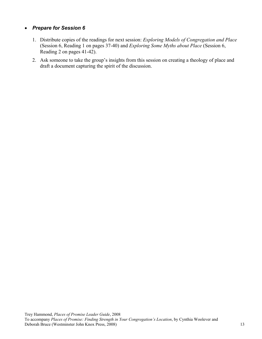## • *Prepare for Session 6*

- 1. Distribute copies of the readings for next session: *Exploring Models of Congregation and Place* (Session 6, Reading 1 on pages 37-40) and *Exploring Some Myths about Place* (Session 6, Reading 2 on pages 41-42).
- 2. Ask someone to take the group's insights from this session on creating a theology of place and draft a document capturing the spirit of the discussion.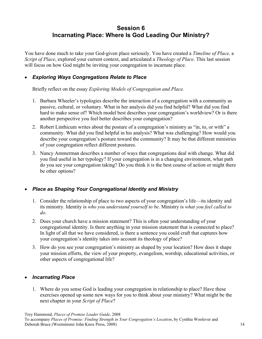## **Session 6 Incarnating Place: Where Is God Leading Our Ministry?**

You have done much to take your God-given place seriously. You have created a *Timeline of Place,* a *Script of Place*, explored your current context, and articulated a *Theology of Place*. This last session will focus on how God might be inviting your congregation to incarnate place.

## • *Exploring Ways Congregations Relate to Place*

Briefly reflect on the essay *Exploring Models of Congregation and Place.*

- 1. Barbara Wheeler's typologies describe the interaction of a congregation with a community as passive, cultural, or voluntary. What in her analysis did you find helpful? What did you find hard to make sense of? Which model best describes your congregation's worldview? Or is there another perspective you feel better describes your congregation?
- 2. Robert Linthicum writes about the posture of a congregation's ministry as "in, to, or with" a community. What did you find helpful in his analysis? What was challenging? How would you describe your congregation's posture toward the community? It may be that different ministries of your congregation reflect different postures.
- 3. Nancy Ammerman describes a number of ways that congregations deal with change. What did you find useful in her typology? If your congregation is in a changing environment, what path do you see your congregation taking? Do you think it is the best course of action or might there be other options?

## • *Place as Shaping Your Congregational Identity and Ministry*

- 1. Consider the relationship of place to two aspects of your congregation's life—its identity and its ministry. Identity is *who you understand yourself to be*. Ministry is *what you feel called to do*.
- 2. Does your church have a mission statement? This is often your understanding of your congregational identity. Is there anything in your mission statement that is connected to place? In light of all that we have considered, is there a sentence you could craft that captures how your congregation's identity takes into account its theology of place?
- 3. How do you see your congregation's ministry as shaped by your location? How does it shape your mission efforts, the view of your property, evangelism, worship, educational activities, or other aspects of congregational life?

## • *Incarnating Place*

1. Where do you sense God is leading your congregation in relationship to place? Have these exercises opened up some new ways for you to think about your ministry? What might be the next chapter in your *Script of Place*?

Trey Hammond, *Places of Promise Leader Guide*, 2008

To accompany *Places of Promise: Finding Strength in Your Congregation's Location*, by Cynthia Woolever and Deborah Bruce (Westminster John Knox Press, 2008) 14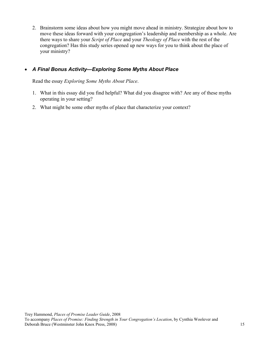2. Brainstorm some ideas about how you might move ahead in ministry. Strategize about how to move these ideas forward with your congregation's leadership and membership as a whole. Are there ways to share your *Script of Place* and your *Theology of Place* with the rest of the congregation? Has this study series opened up new ways for you to think about the place of your ministry?

## • *A Final Bonus Activity—Exploring Some Myths About Place*

Read the essay *Exploring Some Myths About Place*.

- 1. What in this essay did you find helpful? What did you disagree with? Are any of these myths operating in your setting?
- 2. What might be some other myths of place that characterize your context?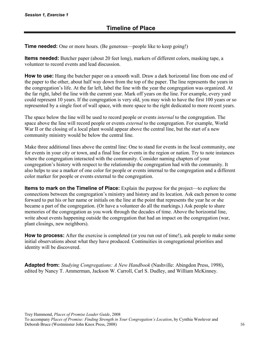**Time needed:** One or more hours. (Be generous—people like to keep going!)

**Items needed:** Butcher paper (about 20 feet long), markers of different colors, masking tape, a volunteer to record events and lead discussion.

**How to use:** Hang the butcher paper on a smooth wall. Draw a dark horizontal line from one end of the paper to the other, about half way down from the top of the paper. The line represents the years in the congregation's life. At the far left, label the line with the year the congregation was organized. At the far right, label the line with the current year. Mark off years on the line. For example, every yard could represent 10 years. If the congregation is very old, you may wish to have the first 100 years or so represented by a single foot of wall space, with more space to the right dedicated to more recent years.

The space below the line will be used to record people or events *internal* to the congregation. The space above the line will record people or events *external* to the congregation. For example, World War II or the closing of a local plant would appear above the central line, but the start of a new community ministry would be below the central line.

Make three additional lines above the central line: One to stand for events in the local community, one for events in your city or town, and a final line for events in the region or nation. Try to note instances where the congregation interacted with the community. Consider naming chapters of your congregation's history with respect to the relationship the congregation had with the community. It also helps to use a marker of one color for people or events internal to the congregation and a different color marker for people or events external to the congregation.

**Items to mark on the Timeline of Place:** Explain the purpose for the project—to explore the connections between the congregation's ministry and history and its location. Ask each person to come forward to put his or her name or initials on the line at the point that represents the year he or she became a part of the congregation. (Or have a volunteer do all the markings.) Ask people to share memories of the congregation as you work through the decades of time. Above the horizontal line, write about events happening outside the congregation that had an impact on the congregation (war, plant closings, new neighbors).

**How to process:** After the exercise is completed (or you run out of time!), ask people to make some initial observations about what they have produced. Continuities in congregational priorities and identity will be discovered.

**Adapted from:** *Studying Congregations: A New Handbook* (Nashville: Abingdon Press, 1998), edited by Nancy T. Ammerman, Jackson W. Carroll, Carl S. Dudley, and William McKinney.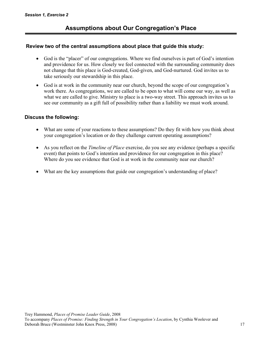### **Review two of the central assumptions about place that guide this study:**

- God is the "placer" of our congregations. Where we find ourselves is part of God's intention and providence for us. How closely we feel connected with the surrounding community does not change that this place is God-created, God-given, and God-nurtured. God invites us to take seriously our stewardship in this place.
- God is at work in the community near our church, beyond the scope of our congregation's work there. As congregations, we are called to be open to what will come our way, as well as what we are called to give. Ministry to place is a two-way street. This approach invites us to see our community as a gift full of possibility rather than a liability we must work around.

## **Discuss the following:**

- What are some of your reactions to these assumptions? Do they fit with how you think about your congregation's location or do they challenge current operating assumptions?
- As you reflect on the *Timeline of Place* exercise, do you see any evidence (perhaps a specific event) that points to God's intention and providence for our congregation in this place? Where do you see evidence that God is at work in the community near our church?
- What are the key assumptions that guide our congregation's understanding of place?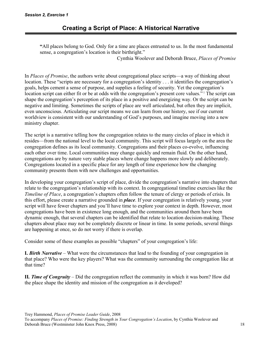**"**All places belong to God. Only for a time are places entrusted to us. In the most fundamental sense, a congregation's location is their birthright."

Cynthia Woolever and Deborah Bruce, *Places of Promise* 

In *Places of Promise*, the authors write about congregational place scripts—a way of thinking about location. These "scripts are necessary for a congregation's identity . . . it identifies the congregation's goals, helps cement a sense of purpose, and supplies a feeling of security. Yet the congregation's location script can either fit or be at odds with the congregation's present core values."<sup>1</sup> The script can shape the congregation's perception of its place in a positive and energizing way. Or the script can be negative and limiting. Sometimes the scripts of place are well articulated, but often they are implicit, even unconscious. Articulating our script means we can learn from our history, see if our current worldview is consistent with our understanding of God's purposes, and imagine moving into a new ministry chapter.

The script is a narrative telling how the congregation relates to the many circles of place in which it resides—from the national level to the local community. This script will focus largely on the area the congregation defines as its local community. Congregations and their places co-evolve, influencing each other over time. Local communities may change quickly and remain fluid. On the other hand, congregations are by nature very stable places where change happens more slowly and deliberately. Congregations located in a specific place for any length of time experience how the changing community presents them with new challenges and opportunities.

In developing your congregation's script of place, divide the congregation's narrative into chapters that relate to the congregation's relationship with its context. In congregational timeline exercises like the *Timeline of Place*, a congregation's chapters often follow the tenure of clergy or periods of crisis. In this effort, please create a narrative grounded in *place*. If your congregation is relatively young, your script will have fewer chapters and you'll have time to explore your context in depth. However, most congregations have been in existence long enough, and the communities around them have been dynamic enough, that several chapters can be identified that relate to location decision-making. These chapters about place may not be completely discrete or linear in time. In some periods, several things are happening at once, so do not worry if there is overlap.

Consider some of these examples as possible "chapters" of your congregation's life:

**I.** *Birth Narrative* – What were the circumstances that lead to the founding of your congregation in that place? Who were the key players? What was the community surrounding the congregation like at that time?

**II***. Time of Congruity* – Did the congregation reflect the community in which it was born? How did the place shape the identity and mission of the congregation as it developed?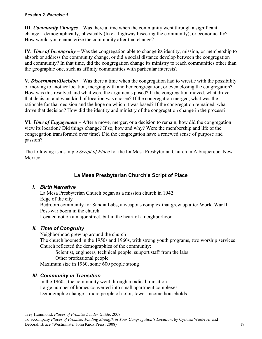**III.** *Community Changes* – Was there a time when the community went through a significant change—demographically, physically (like a highway bisecting the community), or economically? How would you characterize the community after that change?

**IV.** *Time of Incongruity* – Was the congregation able to change its identity, mission, or membership to absorb or address the community change, or did a social distance develop between the congregation and community? In that time, did the congregation change its ministry to reach communities other than the geographic one, such as affinity communities with particular interests?

**V***. Discernment/Decision* – Was there a time when the congregation had to wrestle with the possibility of moving to another location, merging with another congregation, or even closing the congregation? How was this resolved and what were the arguments posed? If the congregation moved, what drove that decision and what kind of location was chosen? If the congregation merged, what was the rationale for that decision and the hope on which it was based? If the congregation remained, what drove that decision? How did the identity and ministry of the congregation change in the process?

**VI.** *Time of Engagement* – After a move, merger, or a decision to remain, how did the congregation view its location? Did things change? If so, how and why? Were the membership and life of the congregation transformed over time? Did the congregation have a renewed sense of purpose and passion?

The following is a sample *Script of Place* for the La Mesa Presbyterian Church in Albuquerque, New Mexico.

## **La Mesa Presbyterian Church's Script of Place**

## *I. Birth Narrative*

La Mesa Presbyterian Church began as a mission church in 1942 Edge of the city Bedroom community for Sandia Labs, a weapons complex that grew up after World War II Post-war boom in the church Located not on a major street, but in the heart of a neighborhood

## *II. Time of Congruity*

Neighborhood grew up around the church The church boomed in the 1950s and 1960s, with strong youth programs, two worship services Church reflected the demographics of the community:

Scientist, engineers, technical people, support staff from the labs Other professional people

Maximum size in 1960, some 600 people strong

## *III. Community in Transition*

In the 1960s, the community went through a radical transition Large number of homes converted into small apartment complexes Demographic change—more people of color, lower income households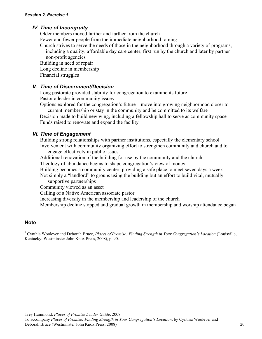### *IV. Time of Incongruity*

 Older members moved farther and farther from the church Fewer and fewer people from the immediate neighborhood joining

Church strives to serve the needs of those in the neighborhood through a variety of programs, including a quality, affordable day care center, first run by the church and later by partner

non-profit agencies Building in need of repair Long decline in membership

Financial struggles

### *V. Time of Discernment/Decision*

Long pastorate provided stability for congregation to examine its future Pastor a leader in community issues

Options explored for the congregation's future—move into growing neighborhood closer to current membership or stay in the community and be committed to its welfare

Decision made to build new wing, including a fellowship hall to serve as community space Funds raised to renovate and expand the facility

### *VI. Time of Engagement*

Building strong relationships with partner institutions, especially the elementary school Involvement with community organizing effort to strengthen community and church and to engage effectively in public issues

Additional renovation of the building for use by the community and the church

Theology of abundance begins to shape congregation's view of money

Building becomes a community center, providing a safe place to meet seven days a week

Not simply a "landlord" to groups using the building but an effort to build vital, mutually supportive partnerships

Community viewed as an asset

Calling of a Native American associate pastor

Increasing diversity in the membership and leadership of the church

Membership decline stopped and gradual growth in membership and worship attendance began

#### **Note**

<sup>1</sup> Cynthia Woolever and Deborah Bruce, *Places of Promise: Finding Strength in Your Congregation's Location* (Louisville, Kentucky: Westminster John Knox Press, 2008), p. 90.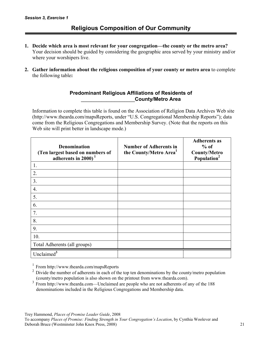- **1. Decide which area is most relevant for your congregation—the county or the metro area?**  Your decision should be guided by considering the geographic area served by your ministry and/or where your worshipers live.
- **2. Gather information about the religious composition of your county or metro area** to complete the following table**:**

### **Predominant Religious Affiliations of Residents of \_\_\_\_\_\_\_\_\_\_\_\_\_\_\_\_\_\_\_\_\_County/Metro Area**

Information to complete this table is found on the Association of Religion Data Archives Web site (http://www.thearda.com/mapsReports, under "U.S. Congregational Membership Reports"); data come from the Religious Congregations and Membership Survey. (Note that the reports on this Web site will print better in landscape mode.)

| <b>Denomination</b><br>(Ten largest based on numbers of<br>adherents in 2000) <sup>1</sup> | <b>Number of Adherents in</b><br>the County/Metro Area <sup>1</sup> | <b>Adherents as</b><br>$%$ of<br><b>County/Metro</b><br>Population <sup>2</sup> |
|--------------------------------------------------------------------------------------------|---------------------------------------------------------------------|---------------------------------------------------------------------------------|
| 1.                                                                                         |                                                                     |                                                                                 |
| 2.                                                                                         |                                                                     |                                                                                 |
| 3.                                                                                         |                                                                     |                                                                                 |
| 4.                                                                                         |                                                                     |                                                                                 |
| 5.                                                                                         |                                                                     |                                                                                 |
| 6.                                                                                         |                                                                     |                                                                                 |
| 7.                                                                                         |                                                                     |                                                                                 |
| 8.                                                                                         |                                                                     |                                                                                 |
| 9.                                                                                         |                                                                     |                                                                                 |
| 10.                                                                                        |                                                                     |                                                                                 |
| Total Adherents (all groups)                                                               |                                                                     |                                                                                 |
| Unclaimed <sup>3</sup>                                                                     |                                                                     |                                                                                 |

<sup>1</sup> From http://www.thearda.com/mapsReports

<sup>2</sup> Divide the number of adherents in each of the top ten denominations by the county/metro population (county/metro population is also shown on the printout from www.thearda.com).

<sup>3</sup> From http://www.thearda.com—Unclaimed are people who are not adherents of any of the 188 denominations included in the Religious Congregations and Membership data.

Trey Hammond, *Places of Promise Leader Guide*, 2008

To accompany *Places of Promise: Finding Strength in Your Congregation's Location*, by Cynthia Woolever and Deborah Bruce (Westminster John Knox Press, 2008) 21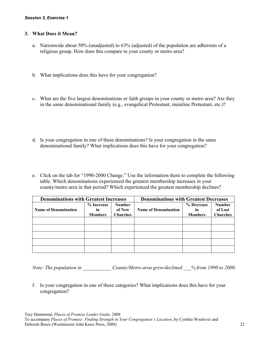#### **3. What Does it Mean?**

- a. Nationwide about 50% (unadjusted) to 63% (adjusted) of the population are adherents of a religious group. How does this compare to your county or metro area?
- b. What implications does this have for your congregation?
- c. What are the five largest denominations or faith groups in your county or metro area? Are they in the same denominational family (e.g., evangelical Protestant, mainline Protestant, etc.)?
- d. Is your congregation in one of these denominations? Is your congregation in the same denominational family? What implications does this have for your congregation?
- e. Click on the tab for "1990-2000 Change." Use the information there to complete the following table. Which denominations experienced the greatest membership increases in your county/metro area in that period? Which experienced the greatest membership declines?

| <b>Denominations with Greatest Increases</b> |                | <b>Denominations with Greatest Decreases</b> |                             |                |                 |
|----------------------------------------------|----------------|----------------------------------------------|-----------------------------|----------------|-----------------|
|                                              | % Increase     | <b>Number</b>                                |                             | % Decrease     | <b>Number</b>   |
| <b>Name of Denomination</b>                  | in             | of New                                       | <b>Name of Denomination</b> | in             | of Lost         |
|                                              | <b>Members</b> | <b>Churches</b>                              |                             | <b>Members</b> | <b>Churches</b> |
|                                              |                |                                              |                             |                |                 |
|                                              |                |                                              |                             |                |                 |
|                                              |                |                                              |                             |                |                 |
|                                              |                |                                              |                             |                |                 |
|                                              |                |                                              |                             |                |                 |

*Note: The population in*  $Country/Metro\ area\ grew/decimal \t 96 from\ 1990 to\ 2000.$ 

f. Is your congregation in one of these categories? What implications does this have for your congregation?

Trey Hammond, *Places of Promise Leader Guide*, 2008

To accompany *Places of Promise: Finding Strength in Your Congregation's Location*, by Cynthia Woolever and Deborah Bruce (Westminster John Knox Press, 2008) 22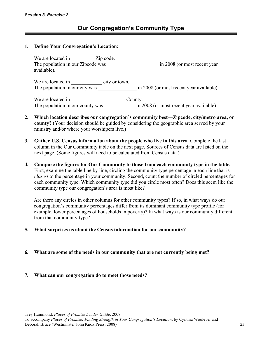#### **1. Define Your Congregation's Location:**

We are located in \_\_\_\_\_\_\_\_\_\_\_ Zip code. The population in our Zipcode was \_\_\_\_\_\_\_\_\_\_\_\_\_\_\_\_\_\_\_\_\_\_\_\_\_\_ in 2008 (or most recent year available).

We are located in \_\_\_\_\_\_\_\_\_\_\_\_ city or town. The population in our city was  $\frac{1}{2}$   $\frac{1}{2}$   $\frac{1}{2}$   $\frac{1}{2}$   $\frac{1}{2}$   $\frac{1}{2}$  in 2008 (or most recent year available).

We are located in County. The population in our county was  $\frac{1}{2008}$  (or most recent year available).

- **2. Which location describes our congregation's community best—Zipcode, city/metro area, or county?** (Your decision should be guided by considering the geographic area served by your ministry and/or where your worshipers live.)
- **3. Gather U.S. Census information about the people who live in this area.** Complete the last column in the Our Community table on the next page. Sources of Census data are listed on the next page. (Some figures will need to be calculated from Census data.)
- **4. Compare the figures for Our Community to those from each community type in the table.**  First, examine the table line by line, circling the community type percentage in each line that is *closest* to the percentage in your community. Second, count the number of circled percentages for each community type. Which community type did you circle most often? Does this seem like the community type our congregation's area is most like?

Are there any circles in other columns for other community types? If so, in what ways do our congregation's community percentages differ from its dominant community type profile (for example, lower percentages of households in poverty)? In what ways is our community different from that community type?

- **5. What surprises us about the Census information for our community?**
- **6. What are some of the needs in our community that are not currently being met?**
- **7. What can our congregation do to meet those needs?**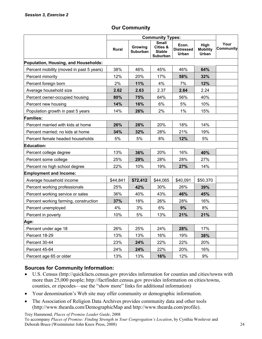|  | <b>Our Community</b> |  |
|--|----------------------|--|
|--|----------------------|--|

|                                          | <b>Community Types:</b> |                     |                                                       |                                            |                                  |                          |
|------------------------------------------|-------------------------|---------------------|-------------------------------------------------------|--------------------------------------------|----------------------------------|--------------------------|
|                                          | <b>Rural</b>            | Growing<br>Suburban | <b>Small</b><br>Cities &<br><b>Stable</b><br>Suburban | Econ.<br><b>Distressed</b><br><b>Urban</b> | High<br><b>Mobility</b><br>Urban | Your<br><b>Community</b> |
| Population, Housing, and Households:     |                         |                     |                                                       |                                            |                                  |                          |
| Percent mobility (moved in past 5 years) | 38%                     | 46%                 | 45%                                                   | 46%                                        | 64%                              |                          |
| Percent minority                         | 12%                     | 20%                 | 17%                                                   | 58%                                        | 32%                              |                          |
| Percent foreign born                     | 2%                      | 11%                 | 4%                                                    | 7%                                         | 12%                              |                          |
| Average household size                   | 2.62                    | 2.63                | 2.37                                                  | 2.64                                       | 2.24                             |                          |
| Percent owner-occupied housing           | 80%                     | 75%                 | 64%                                                   | 56%                                        | 40%                              |                          |
| Percent new housing                      | 14%                     | 16%                 | 6%                                                    | 5%                                         | 10%                              |                          |
| Population growth in past 5 years        | 14%                     | 26%                 | 2%                                                    | 1%                                         | 15%                              |                          |
| <b>Families:</b>                         |                         |                     |                                                       |                                            |                                  |                          |
| Percent married with kids at home        | 26%                     | 28%                 | 20%                                                   | 18%                                        | 14%                              |                          |
| Percent married; no kids at home         | 34%                     | 32%                 | 28%                                                   | 21%                                        | 19%                              |                          |
| Percent female headed households         | 5%                      | 5%                  | 8%                                                    | 12%                                        | 5%                               |                          |
| <b>Education:</b>                        |                         |                     |                                                       |                                            |                                  |                          |
| Percent college degree                   | 13%                     | 36%                 | 20%                                                   | 16%                                        | 40%                              |                          |
| Percent some college                     | 25%                     | 29%                 | 28%                                                   | 28%                                        | 27%                              |                          |
| Percent no high school degree            | 22%                     | 10%                 | 19%                                                   | 27%                                        | 14%                              |                          |
| <b>Employment and Income:</b>            |                         |                     |                                                       |                                            |                                  |                          |
| Average household income                 | \$44,841                | \$72,412            | \$44,065                                              | \$40,091                                   | \$50,370                         |                          |
| Percent working professionals            | 25%                     | 42%                 | 30%                                                   | 26%                                        | 39%                              |                          |
| Percent working service or sales         | 36%                     | 40%                 | 43%                                                   | 46%                                        | 45%                              |                          |
| Percent working farming, construction    | 37%                     | 18%                 | 26%                                                   | 28%                                        | 16%                              |                          |
| Percent unemployed                       | 4%                      | 3%                  | 6%                                                    | 9%                                         | 8%                               |                          |
| Percent in poverty                       | 10%                     | 5%                  | 13%                                                   | 21%                                        | 21%                              |                          |
| Age:                                     |                         |                     |                                                       |                                            |                                  |                          |
| Percent under age 18                     | 26%                     | 25%                 | 24%                                                   | 28%                                        | 17%                              |                          |
| Percent 18-29                            | 13%                     | 13%                 | 16%                                                   | 19%                                        | 38%                              |                          |
| Percent 30-44                            | 23%                     | 24%                 | 22%                                                   | 22%                                        | 20%                              |                          |
| Percent 45-64                            | 24%                     | 24%                 | 22%                                                   | 20%                                        | 16%                              |                          |
| Percent age 65 or older                  | 13%                     | 13%                 | 16%                                                   | 12%                                        | 9%                               |                          |

## **Sources for Community Information:**

- U.S. Census (http://quickfacts.census.gov provides information for counties and cities/towns with more than 25,000 people; http://factfinder.census.gov provides information on cities/towns, counties, or zipcodes—use the "show more" links for additional information)
- Your denomination's Web site may offer community or demographic information.
- The Association of Religion Data Archives provides community data and other tools (http://www.thearda.com/DemographicMap and http://www.thearda.com/profile).

Trey Hammond, *Places of Promise Leader Guide*, 2008 To accompany *Places of Promise: Finding Strength in Your Congregation's Location*, by Cynthia Woolever and Deborah Bruce (Westminster John Knox Press, 2008) 24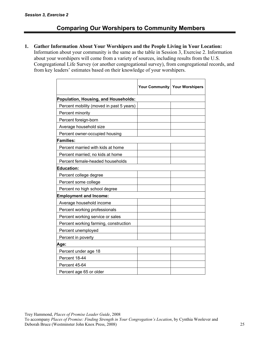## **Comparing Our Worshipers to Community Members**

**1. Gather Information About Your Worshipers and the People Living in Your Location:** 

Information about your community is the same as the table in Session 3, Exercise 2. Information about your worshipers will come from a variety of sources, including results from the U.S. Congregational Life Survey (or another congregational survey), from congregational records, and from key leaders' estimates based on their knowledge of your worshipers.

|                                             |  | Your Community Your Worshipers |  |  |  |
|---------------------------------------------|--|--------------------------------|--|--|--|
| <b>Population, Housing, and Households:</b> |  |                                |  |  |  |
| Percent mobility (moved in past 5 years)    |  |                                |  |  |  |
| Percent minority                            |  |                                |  |  |  |
| Percent foreign-born                        |  |                                |  |  |  |
| Average household size                      |  |                                |  |  |  |
| Percent owner-occupied housing              |  |                                |  |  |  |
| <b>Families:</b>                            |  |                                |  |  |  |
| Percent married with kids at home           |  |                                |  |  |  |
| Percent married; no kids at home            |  |                                |  |  |  |
| Percent female-headed households            |  |                                |  |  |  |
| <b>Education:</b>                           |  |                                |  |  |  |
| Percent college degree                      |  |                                |  |  |  |
| Percent some college                        |  |                                |  |  |  |
| Percent no high school degree               |  |                                |  |  |  |
| <b>Employment and Income:</b>               |  |                                |  |  |  |
| Average household income                    |  |                                |  |  |  |
| Percent working professionals               |  |                                |  |  |  |
| Percent working service or sales            |  |                                |  |  |  |
| Percent working farming, construction       |  |                                |  |  |  |
| Percent unemployed                          |  |                                |  |  |  |
| Percent in poverty                          |  |                                |  |  |  |
| Age:                                        |  |                                |  |  |  |
| Percent under age 18                        |  |                                |  |  |  |
| Percent 18-44                               |  |                                |  |  |  |
| Percent 45-64                               |  |                                |  |  |  |
| Percent age 65 or older                     |  |                                |  |  |  |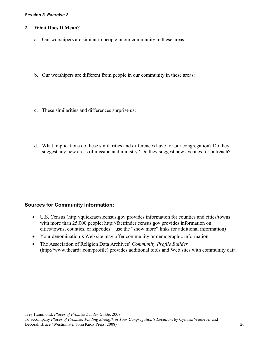#### *Session 3, Exercise 2*

#### **2. What Does It Mean?**

- a. Our worshipers are similar to people in our community in these areas:
- b. Our worshipers are different from people in our community in these areas:
- c. These similarities and differences surprise us:
- d. What implications do these similarities and differences have for our congregation? Do they suggest any new areas of mission and ministry? Do they suggest new avenues for outreach?

### **Sources for Community Information:**

- U.S. Census (http://quickfacts.census.gov provides information for counties and cities/towns with more than 25,000 people; http://factfinder.census.gov provides information on cities/towns, counties, or zipcodes—use the "show more" links for additional information)
- Your denomination's Web site may offer community or demographic information.
- The Association of Religion Data Archives' *Community Profile Builder* (http://www.thearda.com/profile) provides additional tools and Web sites with community data.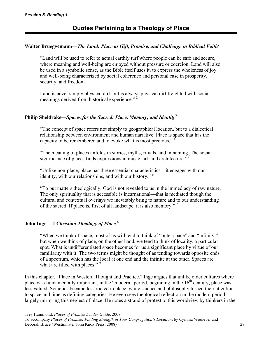## **Walter Brueggemann—***The Land: Place as Gift, Promise, and Challenge in Biblical Faith<sup>1</sup>*

"Land will be used to refer to actual earthly turf where people can be safe and secure, where meaning and well-being are enjoyed without pressure or coercion. Land will also be used in a symbolic sense, as the Bible itself uses it, to express the wholeness of joy and well-being characterized by social coherence and personal ease in prosperity, security, and freedom.

Land is never simply physical dirt, but is always physical dirt freighted with social meanings derived from historical experience."<sup>2</sup>

### **Philip Sheldrake—***Spaces for the Sacred: Place, Memory, and Identity*<sup>3</sup>

"The concept of space refers not simply to geographical location, but to a dialectical relationship between environment and human narrative. Place is space that has the capacity to be remembered and to evoke what is most precious." 4

"The meaning of places unfolds in stories, myths, rituals, and in naming. The social significance of places finds expressions in music, art, and architecture.<sup> $5$ </sup>

"Unlike non-place, place has three essential characteristics—it engages with our identity, with our relationships, and with our history." 6

"To put matters theologically, God is not revealed to us in the immediacy of raw nature. The only spirituality that is accessible is incarnational—that is mediated though the cultural and contextual overlays we inevitably bring to nature and to our understanding of the sacred. If place is, first of all landscape, it is also memory."<sup>7</sup>

## **John Inge—***A Christian Theology of Place* <sup>8</sup>

"When we think of space, most of us will tend to think of "outer space" and "infinity," but when we think of place, on the other hand, we tend to think of locality, a particular spot. What is undifferentiated space becomes for us a significant place by virtue of our familiarity with it. The two terms might be thought of as tending towards opposite ends of a spectrum, which has the local at one end and the infinite at the other. Spaces are what are filled with places."<sup>9</sup>

In this chapter, "Place in Western Thought and Practice," Inge argues that unlike older cultures where place was fundamentally important, in the "modern" period, beginning in the  $16<sup>th</sup>$  century, place was less valued. Societies became less rooted in place, while science and philosophy turned their attention to space and time as defining categories. He even sees theological reflection in the modern period largely mirroring this neglect of place. He notes a strand of protest to this worldview by thinkers in the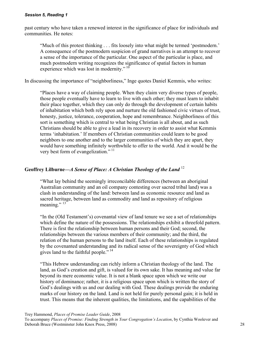past century who have taken a renewed interest in the significance of place for individuals and communities. He notes:

"Much of this protest thinking . . . fits loosely into what might be termed 'postmodern.' A consequence of the postmodern suspicion of grand narratives is an attempt to recover a sense of the importance of the particular. One aspect of the particular is place, and much postmodern writing recognizes the significance of spatial factors in human experience which was lost in modernity."  $10$ 

In discussing the importance of "neighborliness," Inge quotes Daniel Kemmis, who writes:

"Places have a way of claiming people. When they claim very diverse types of people, those people eventually have to learn to live with each other; they must learn to inhabit their place together, which they can only do through the development of certain habits of inhabitation which both rely upon and nurture the old fashioned civic virtues of trust, honesty, justice, tolerance, cooperation, hope and remembrance. Neighborliness of this sort is something which is central to what being Christian is all about, and as such Christians should be able to give a lead in its recovery in order to assist what Kemmis terms 'inhabitation.' If members of Christian communities could learn to be good neighbors to one another and to the larger communities of which they are apart, they would have something infinitely worthwhile to offer to the world. And it would be the very best form of evangelization."<sup>11</sup>

## **Geoffrey Lilburne—***A Sense of Place: A Christian Theology of the Land* <sup>12</sup>

"What lay behind the seemingly irreconcilable differences (between an aboriginal Australian community and an oil company contesting over sacred tribal land) was a clash in understanding of the land: between land as economic resource and land as sacred heritage, between land as commodity and land as repository of religious meaning."  $13^{\circ}$ 

"In the (Old Testament's) covenantal view of land tenure we see a set of relationships which define the nature of the possessions. The relationships exhibit a threefold pattern. There is first the relationship between human persons and their God; second, the relationships between the various members of their community; and the third, the relation of the human persons to the land itself. Each of these relationships is regulated by the covenanted understanding and its radical sense of the sovereignty of God which gives land to the faithful people."<sup>14</sup>

"This Hebrew understanding can richly inform a Christian theology of the land. The land, as God's creation and gift, is valued for its own sake. It has meaning and value far beyond its mere economic value. It is not a blank space upon which we write our history of dominance; rather, it is a religious space upon which is written the story of God's dealings with us and our dealing with God. These dealings provide the enduring marks of our history on the land. Land is not held for purely personal gain; it is held in trust. This means that the inherent qualities, the limitations, and the capabilities of the

Trey Hammond, *Places of Promise Leader Guide*, 2008

To accompany *Places of Promise: Finding Strength in Your Congregation's Location*, by Cynthia Woolever and Deborah Bruce (Westminster John Knox Press, 2008) 28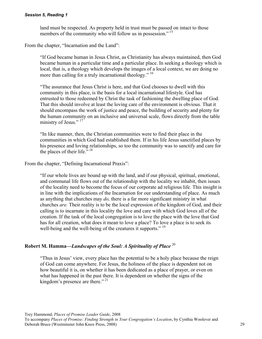land must be respected. As property held in trust must be passed on intact to those members of the community who will follow us in possession."<sup>15</sup>

From the chapter, "Incarnation and the Land":

"If God became human in Jesus Christ, as Christianity has always maintained, then God became human in a particular time and a particular place. In seeking a theology which is local, that is, a theology which develops the images of a local context, we are doing no more than calling for a truly incarnational theology." <sup>16</sup>

"The assurance that Jesus Christ is here, and that God chooses to dwell with this community in this place, is the basis for a local incarnational lifestyle. God has entrusted to those redeemed by Christ the task of fashioning the dwelling place of God. That this should involve at least the loving care of the environment is obvious. That it should encompass the work of justice and peace, the building of security and plenty for the human community on an inclusive and universal scale, flows directly from the table ministry of Jesus."<sup>17</sup>

"In like manner, then, the Christian communities were to find their place in the communities in which God had established them. If in his life Jesus sanctified places by his presence and loving relationships, so too the community was to sanctify and care for the places of their life."  $18$ 

From the chapter, "Defining Incarnational Praxis":

"If our whole lives are bound up with the land, and if our physical, spiritual, emotional, and communal life flows out of the relationship with the locality we inhabit, then issues of the locality need to become the focus of our corporate ad religious life. This insight is in line with the implications of the Incarnation for our understanding of place. As much as anything that churches may *do,* there is a far more significant ministry in what churches *are.* Their reality is to be the local expression of the kingdom of God, and their calling is to incarnate in this locality the love and care with which God loves all of the creation. If the task of the local congregation is to love the place with the love that God has for all creation, what does it mean to love a place? To love a place is to seek its well-being and the well-being of the creatures it supports."<sup>19</sup>

#### **Robert M. Hamma—***Landscapes of the Soul: A Spirituality of Place* <sup>20</sup>

"Thus in Jesus' view, every place has the potential to be a holy place because the reign of God can come anywhere. For Jesus, the holiness of the place is dependent not on how beautiful it is, on whether it has been dedicated as a place of prayer, or even on what has happened in the past there. It is dependent on whether the signs of the kingdom's presence are there."<sup>21</sup>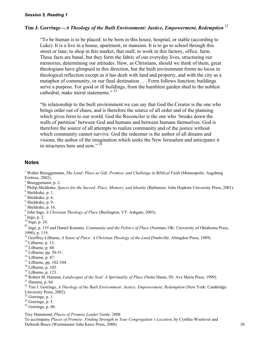## **Tim J. Gorringe—***A Theology of the Built Environment: Justice, Empowerment, Redemption* <sup>22</sup>

"To be human is to be placed: to be born in this house, hospital, or stable (according to Luke). It is a live in a house, apartment, or mansion. It is to go to school through this street or lane; to shop in this market, that mall; to work in this factory, office, farm. These facts are banal, but they form the fabric of our everyday lives, structuring our memories, determining our attitudes. How, as Christians, should we think of them, great theologians have glimpsed in this direction, but the built environment forms no locus in theological reflection except as it has dealt with land and property, and with the city as a metaphor of community, or our final destination . . . Form follows function; buildings serve a purpose. For good or ill buildings, from the humblest garden shed to the noblest cathedral, make moral statements."<sup>23</sup>

"In relationship to the built environment we can say that God the Creator is the one who brings order out of chaos, and is therefore the source of all order and of the planning which gives form to our world. God the Reconciler is the one who 'breaks down the walls of partition' between God and humans and between humans themselves. God is therefore the source of all attempts to realize community and of the justice without which community cannot survive. God the redeemer is the author of all dreams and visions, the author of the imagination which seeks the New Jerusalem and anticipates it in structures here and now." <sup>24</sup>

#### **Notes**

- $2$  Brueggemann, p. 2.
- <sup>3</sup> Philip Sheldrake, *Spaces for the Sacred: Place, Memory, and Identity* (Baltimore: John Hopkins University Press, 2001).
- <sup>4</sup> Sheldrake, p. 1.
- $<sup>5</sup>$  Sheldrake, p. 6.</sup>
- $6$  Sheldrake, p. 9.
- 7 Sheldrake, p. 16.
- <sup>8</sup> John Inge, *A Christian Theology of Place* (Burlington, VT: Ashgate, 2003).
- $\frac{9 \text{ Inge, p. 2}}{9 \text{ Inge, p. 2}}$
- 10 Inge, p. 24.
- <sup>I1</sup> Inge, p. 135 and Daniel Kemmis, *Community and the Politics of Place* (Norman, OK: University of Oklahoma Press, 1990), p. 119.
- <sup>12</sup> Geoffrey Lilburne, *A Sense of Place: A Christian Theology of the Land* (Nashville: Abingdon Press, 1989).<br><sup>13</sup> Lilburne, p. 13.<br><sup>14</sup> Lilburne, p. 60.
- 
- 
- $15$  Lilburne, pp. 50-51.
- $16$  Lilburne, p. 87.
- <sup>17</sup> Lilburne, pp. 102-104.
- $18$  Lilburne, p. 105.
- $19$  Lilburne, p. 123.
- <sup>20</sup> Robert M. Hamma, *Landscapes of the Soul: A Spirituality of Place* (Notre Dame, IN: Ave Maria Press, 1999).<br><sup>21</sup> Hamma, p. 84.
- 
- 22 Tim J. Gorringe, *A Theology of the Built Environment: Justice, Empowerment, Redemption* (New York: Cambridge University Press, 2002).
- $23$  Gorringe, p. 1.
- $24$  Gorringe, p. 5.
- $25$  Gorringe, p. 40.

Trey Hammond, *Places of Promise Leader Guide*, 2008

To accompany *Places of Promise: Finding Strength in Your Congregation's Location*, by Cynthia Woolever and Deborah Bruce (Westminster John Knox Press, 2008) 30

<sup>&</sup>lt;sup>1</sup> Walter Brueggemann, *The Land: Place as Gift, Promise, and Challenge in Biblical Faith* (Minneapolis: Augsburg Fortress, 2002).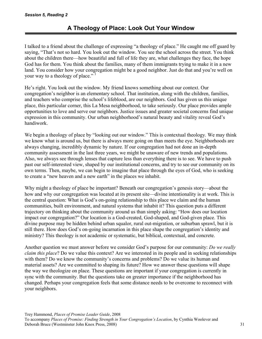I talked to a friend about the challenge of expressing "a theology of place." He caught me off guard by saying, "That's not so hard. You look out the window. You see the school across the street. You think about the children there—how beautiful and full of life they are, what challenges they face, the hope God has for them. You think about the families, many of them immigrants trying to make it in a new land. You consider how your congregation might be a good neighbor. Just do that and you're well on your way to a theology of place."

He's right. You look out the window. My friend knows something about our context. Our congregation's neighbor is an elementary school. That institution, along with the children, families, and teachers who comprise the school's lifeblood, are our neighbors. God has given us this unique place, this particular corner, this La Mesa neighborhood, to take seriously. Our place provides ample opportunities to love and serve our neighbors. Justice issues and greater societal concerns find unique expression in this community. Our urban neighborhood's natural beauty and vitality reveal God's handiwork.

We begin a theology of place by "looking out our window." This is contextual theology. We may think we know what is around us, but there is always more going on than meets the eye. Neighborhoods are always changing, incredibly dynamic by nature. If our congregation had not done an in-depth community assessment in the last three years, we might be unaware of new trends and populations. Also, we always see through lenses that capture less than everything there is to see. We have to push past our self-interested view, shaped by our institutional concerns, and try to see our community on its own terms. Then, maybe, we can begin to imagine that place through the eyes of God, who is seeking to create a "new heaven and a new earth" in the places we inhabit.

Why might a theology of place be important? Beneath our congregation's genesis story—about the how and why our congregation was located at its present site—divine intentionality is at work. This is the central question: What is God's on-going relationship to this place we claim and the human communities, built environment, and natural systems that inhabit it? This question puts a different trajectory on thinking about the community around us than simply asking: "How does our location impact our congregation?" Our location is a God-created, God-shaped, and God-given place. This divine purpose may be hidden behind urban squalor, rural out-migration, or suburban sprawl, but it is still there. How does God's on-going incarnation in this place shape the congregation's identity and ministry? This theology is not academic or systematic, but biblical, contextual, and concrete.

Another question we must answer before we consider God's purpose for our community: *Do we really claim this place*? Do we value this context? Are we interested in its people and in seeking relationships with them? Do we know the community's concerns and problems? Do we value its human and material assets? Are we committed to shaping its future? How we answer these questions will shape the way we theologize on place. These questions are important if your congregation is currently in sync with the community. But the questions take on greater importance if the neighborhood has changed. Perhaps your congregation feels that some distance needs to be overcome to reconnect with your neighbors.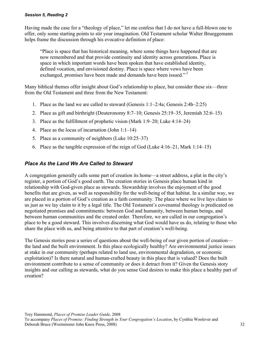Having made the case for a "theology of place," let me confess that I do not have a full-blown one to offer, only some starting points to stir your imagination. Old Testament scholar Walter Brueggemann helps frame the discussion through his evocative definition of place:

"Place is space that has historical meaning, where some things have happened that are now remembered and that provide continuity and identity across generations. Place is space in which important words have been spoken that have established identity, defined vocation, and envisioned destiny. Place is space where vows have been exchanged, promises have been made and demands have been issued."<sup>2</sup>

Many biblical themes offer insight about God's relationship to place, but consider these six—three from the Old Testament and three from the New Testament:

- 1. Place as the land we are called to steward (Genesis 1:1–2:4a; Genesis 2:4b–2:25)
- 2. Place as gift and birthright (Deuteronomy 8:7–10; Genesis 25:19–35, Jeremiah 32:6–15)
- 3. Place as the fulfillment of prophetic vision (Mark 1:9–20; Luke 4:14–24)
- 4. Place as the locus of incarnation (John 1:1–14)
- 5. Place as a community of neighbors (Luke 10:25–37)
- 6. Place as the tangible expression of the reign of God (Luke 4:16–21, Mark 1:14–15)

### *Place As the Land We Are Called to Steward*

A congregation generally calls some part of creation its home—a street address, a plat in the city's register, a portion of God's good earth. The creation stories in Genesis place human kind in relationship with God-given place as stewards. Stewardship involves the enjoyment of the good benefits that are given, as well as responsibility for the well-being of that habitat. In a similar way, we are placed in a portion of God's creation as a faith community. The place where we live lays claim to us just as we lay claim to it by a legal title. The Old Testament's covenantal theology is predicated on negotiated promises and commitments: between God and humanity, between human beings, and between human communities and the created order. Therefore, we are called in our congregation's place to be a good steward. This involves discerning what God would have us do, relating to those who share the place with us, and being attentive to that part of creation's well-being.

The Genesis stories pose a series of questions about the well-being of our given portion of creation the land and the built environment. Is this place ecologically healthy? Are environmental justice issues at stake in our community (perhaps related to land use, environmental degradation, or economic exploitation)? Is there natural and human-crafted beauty in this place that is valued? Does the built environment contribute to a sense of community or does it detract from it? Given the Genesis story insights and our calling as stewards, what do you sense God desires to make this place a healthy part of creation?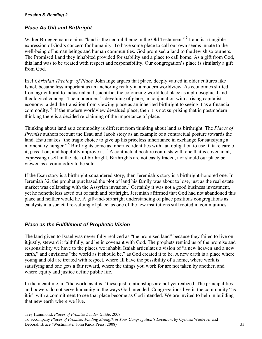## *Place As Gift and Birthright*

Walter Brueggemann claims "land is the central theme in the Old Testament."<sup>3</sup> Land is a tangible expression of God's concern for humanity. To have some place to call our own seems innate to the well-being of human beings and human communities. God promised a land to the Jewish sojourners. The Promised Land they inhabited provided for stability and a place to call home. As a gift from God, this land was to be treated with respect and responsibility. Our congregation's place is similarly a gift from God.

In *A Christian Theology of Place,* John Inge argues that place, deeply valued in older cultures like Israel, became less important as an anchoring reality in a modern worldview. As economies shifted from agricultural to industrial and scientific, the colonizing world lost place as a philosophical and theological concept. The modern era's devaluing of place, in conjunction with a rising capitalist economy, aided the transition from viewing place as an inherited birthright to seeing it as a financial commodity. 4 If the modern worldview devalued place, then it is not surprising that in postmodern thinking there is a decided re-claiming of the importance of place.

Thinking about land as a commodity is different from thinking about land as birthright. The *Places of Promise* authors recount the Esau and Jacob story as an example of a contractual posture towards the land. Esau makes "the tragic choice to give up his priceless inheritance in exchange for satisfying a momentary hunger."<sup>5</sup> Birthrights come as inherited identities with "an obligation to use it, take care of it, pass it on, and hopefully improve it."<sup>6</sup> A contractual posture contrasts with one that is covenantal, expressing itself in the idea of birthright. Birthrights are not easily traded, nor should our place be viewed as a commodity to be sold.

If the Esau story is a birthright-squandered story, then Jeremiah's story is a birthright-honored one. In Jeremiah 32, the prophet purchased the plot of land his family was about to lose, just as the real estate market was collapsing with the Assyrian invasion.<sup>7</sup> Certainly it was not a good business investment, yet he nonetheless acted out of faith and birthright. Jeremiah affirmed that God had not abandoned this place and neither would he. A gift-and-birthright understanding of place positions congregations as catalysts in a societal re-valuing of place, as one of the few institutions still rooted in communities.

### *Place as the Fulfillment of Prophetic Vision*

The land given to Israel was never fully realized as "the promised land" because they failed to live on it justly, steward it faithfully, and be in covenant with God. The prophets remind us of the promise and responsibility we have to the places we inhabit. Isaiah articulates a vision of "a new heaven and a new earth," and envisions "the world as it should be," as God created it to be. A new earth is a place where young and old are treated with respect, where all have the possibility of a home, where work is satisfying and one gets a fair reward, where the things you work for are not taken by another, and where equity and justice define public life.

In the meantime, in "the world as it is," these just relationships are not yet realized. The principalities and powers do not serve humanity in the ways God intended. Congregations live in the community "as it is" with a commitment to see that place become as God intended. We are invited to help in building that new earth where we live.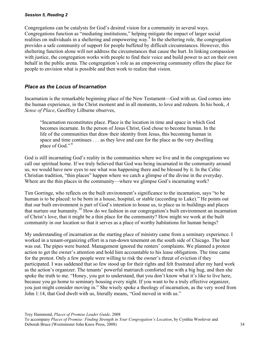Congregations can be catalysts for God's desired vision for a community in several ways. Congregations function as "mediating institutions," helping mitigate the impact of larger social realities on individuals in a sheltering and empowering way.<sup>8</sup> In the sheltering role, the congregation provides a safe community of support for people buffeted by difficult circumstances. However, this sheltering function alone will not address the circumstances that cause the hurt. In linking compassion with justice, the congregation works with people to find their voice and build power to act on their own behalf in the public arena. The congregation's role as an empowering community offers the place for people to envision what is possible and then work to realize that vision.

## *Place as the Locus of Incarnation*

Incarnation is the remarkable beginning place of the New Testament—God with us. God comes into the human experience, in the Christ moment and in all moments, to love and redeem. In his book, *A Sense of Place*, Geoffrey Lilburne observes,

"Incarnation reconstitutes place. Place is the location in time and space in which God becomes incarnate. In the person of Jesus Christ, God chose to become human. In the life of the communities that draw their identity from Jesus, this becoming human in space and time continues . . . as they love and care for the place as the very dwelling place of God."<sup>9</sup>

God is still incarnating God's reality in the communities where we live and in the congregations we call our spiritual home. If we truly believed that God was being incarnated in the community around us, we would have new eyes to see what was happening there and be blessed by it. In the Celtic Christian tradition, "thin places" happen where we catch a glimpse of the divine in the everyday. Where are the thin places in the community—where we glimpse God's incarnating work?

Tim Gorringe, who reflects on the built environment's significance to the incarnation, says "to be human is to be placed: to be born in a house, hospital, or stable (according to Luke)." He points out that our built environment is part of God's intention to house us, to place us in buildings and places that nurture our humanity.10 How do we fashion in our congregation's built environment an incarnation of Christ's love, that it might be a thin place for the community? How might we work at the built community in our location so that it serves as a place of worthy habitations for human beings?

My understanding of incarnation as the starting place of ministry came from a seminary experience. I worked in a tenant-organizing effort in a run-down tenement on the south side of Chicago. The heat was out. The pipes were busted. Management ignored the renters' complaints. We planned a protest action to get the owner's attention and hold him accountable to his lease obligations. The time came for the protest. Only a few people were willing to risk the owner's threat of eviction if they participated. I was saddened that so few stood up for their rights and felt frustrated after my hard work as the action's organizer. The tenants' powerful matriarch comforted me with a big hug, and then she spoke the truth to me. "Honey, you got to understand, that you don't know what it's like to live here, because you go home to seminary housing every night. If you want to be a truly effective organizer, you just might consider moving in." She wisely spoke a theology of incarnation, as the very word from John 1:14, that God dwelt with us, literally means, "God moved in with us."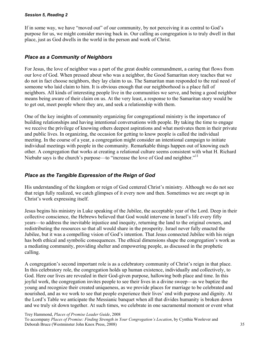If in some way, we have "moved out" of our community, by not perceiving it as central to God's purpose for us, we might consider moving back in. Our calling as congregation is to truly dwell in that place, just as God dwells in the world in the person and work of Christ.

## *Place as a Community of Neighbors*

For Jesus, the love of neighbor was a part of the great double commandment, a caring that flows from our love of God. When pressed about who was a neighbor, the Good Samaritan story teaches that we do not in fact choose neighbors, they lay claim to us. The Samaritan man responded to the real need of someone who laid claim to him. It is obvious enough that our neighborhood is a place full of neighbors. All kinds of interesting people live in the communities we serve, and being a good neighbor means being aware of their claim on us. At the very least, a response to the Samaritan story would be to get out, meet people where they are, and seek a relationship with them.

One of the key insights of community organizing for congregational ministry is the importance of building relationships and having intentional conversations with people. By taking the time to engage we receive the privilege of knowing others deepest aspirations and what motivates them in their private and public lives. In organizing, the occasion for getting to know people is called the individual meeting. In the course of a year, a congregation might consider an intentional campaign to initiate individual meetings with people in the community. Remarkable things happen out of knowing each other. A congregation that works at creating a relational culture seems consistent with what H. Richard Niebuhr says is the church's purpose—to "increase the love of God and neighbor."<sup>11</sup>

## *Place as the Tangible Expression of the Reign of God*

His understanding of the kingdom or reign of God centered Christ's ministry. Although we do not see that reign fully realized, we catch glimpses of it every now and then. Sometimes we are swept up in Christ's work expressing itself.

Jesus begins his ministry in Luke speaking of the Jubilee, the acceptable year of the Lord. Deep in their collective conscience, the Hebrews believed that God would intervene in Israel's life every fifty years—to address the inevitable injustice and inequity, returning the land to the original owners, and redistributing the resources so that all would share in the prosperity. Israel never fully enacted the Jubilee, but it was a compelling vision of God's intention. That Jesus connected Jubilee with his reign has both ethical and symbolic consequences. The ethical dimensions shape the congregation's work as a mediating community, providing shelter and empowering people, as discussed in the prophetic calling.

A congregation's second important role is as a celebratory community of Christ's reign in that place. In this celebratory role, the congregation holds up human existence, individually and collectively, to God. Here our lives are revealed in their God-given purpose, hallowing both place and time. In this joyful work, the congregation invites people to see their lives in a divine sweep—as we baptize the young and recognize their created uniqueness, as we provide places for marriage to be celebrated and nourished, and as we work to see that people experience their lives' end with purpose and dignity. At the Lord's Table we anticipate the Messianic banquet when all that divides humanity is broken down and we truly sit down together. At such times, we celebrate in one sacramental moment or event what

Trey Hammond, *Places of Promise Leader Guide*, 2008 To accompany *Places of Promise: Finding Strength in Your Congregation's Location*, by Cynthia Woolever and Deborah Bruce (Westminster John Knox Press, 2008) 35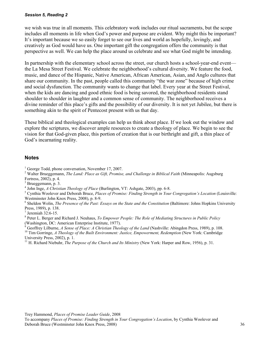we wish was true in all moments. This celebratory work includes our ritual sacraments, but the scope includes all moments in life when God's power and purpose are evident. Why might this be important? It's important because we so easily forget to see our lives and world as hopefully, lovingly, and creatively as God would have us. One important gift the congregation offers the community is that perspective as well. We can help the place around us celebrate and see what God might be intending.

In partnership with the elementary school across the street, our church hosts a school-year-end event the La Mesa Street Festival. We celebrate the neighborhood's cultural diversity. We feature the food, music, and dance of the Hispanic, Native American, African American, Asian, and Anglo cultures that share our community. In the past, people called this community "the war zone" because of high crime and social dysfunction. The community wants to change that label. Every year at the Street Festival, when the kids are dancing and good ethnic food is being savored, the neighborhood residents stand shoulder to shoulder in laughter and a common sense of community. The neighborhood receives a divine reminder of this place's gifts and the possibility of our diversity. It is not yet Jubilee, but there is something akin to the spirit of Pentecost present with us that day.

These biblical and theological examples can help us think about place. If we look out the window and explore the scriptures, we discover ample resources to create a theology of place. We begin to see the vision for that God-given place, this portion of creation that is our birthright and gift, a thin place of God's incarnating reality.

#### **Notes**

2 Walter Brueggemann, *The Land: Place as Gift, Promise, and Challenge in Biblical Faith* (Minneapolis: Augsburg Fortress, 2002), p. 4.

<sup>3</sup> Brueggemann, p. 3.

4 John Inge, *A Christian Theology of Place* (Burlington, VT: Ashgate, 2003), pp. 6-8. 5

 Cynthia Woolever and Deborah Bruce, *Places of Promise: Finding Strength in Your Congregation's Location* (Louisville: Westminster John Knox Press, 2008), p. 8-9.

<sup>6</sup> Sheldon Wolin, *The Presence of the Past: Essays on the State and the Constitution* (Baltimore: Johns Hopkins University Press, 1989), p. 138.

7 Jeremiah 32:6-15.

8 Peter L. Berger and Richard J. Neuhaus, *To Empower People: The Role of Mediating Structures in Public Policy*  (Washington, DC: American Enterprise Institute, 1977).

 $\delta$  Geoffrey Lilburne, A Sense of Place: A Christian Theology of the Land (Nashville: Abingdon Press, 1989), p. 108.  $10$  Tim Gorringe, A Theology of the Built Environment: Justice, Empowerment, Redemption (New York: Cambridge University Press, 2002), p. 1.

11 H. Richard Niebuhr, *The Purpose of the Church and Its Ministry* (New York: Harper and Row, 1956), p. 31.

<sup>&</sup>lt;sup>1</sup> George Todd, phone conversation, November 17, 2007.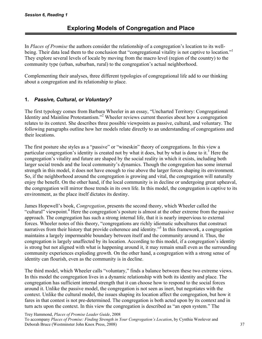In *Places of Promise* the authors consider the relationship of a congregation's location to its wellbeing. Their data lead them to the conclusion that "congregational vitality is not captive to location." They explore several levels of locale by moving from the macro level (region of the country) to the community type (urban, suburban, rural) to the congregation's actual neighborhood.

Complementing their analyses, three different typologies of congregational life add to our thinking about a congregation and its relationship to place.

## **1.** *Passive, Cultural, or Voluntary?*

The first typology comes from Barbara Wheeler in an essay, "Uncharted Territory: Congregational Identity and Mainline Protestantism."<sup>2</sup> Wheeler reviews current theories about how a congregation relates to its context. She describes three possible viewpoints as passive, cultural, and voluntary. The following paragraphs outline how her models relate directly to an understanding of congregations and their locations.

The first posture she styles as a "passive" or "wineskin" theory of congregations. In this view a particular congregation's identity is created not by what it does, but by what is done to it.<sup>3</sup> Here the congregation's vitality and future are shaped by the social reality in which it exists, including both larger social trends and the local community's dynamics. Though the congregation has some internal strength in this model, it does not have enough to rise above the larger forces shaping its environment. So, if the neighborhood around the congregation is growing and vital, the congregation will naturally enjoy the benefit. On the other hand, if the local community is in decline or undergoing great upheaval, the congregation will mirror those trends in its own life. In this model, the congregation is captive to its environment, as the place itself dictates its destiny.

James Hopewell's book, *Congregation*, presents the second theory, which Wheeler called the "cultural" viewpoint.<sup>4</sup> Here the congregation's posture is almost at the other extreme from the passive approach. The congregation has such a strong internal life, that it is nearly impervious to external forces. Wheeler notes of this theory, "congregations are richly idiomatic subcultures that construct narratives from their history that provide coherence and identity."<sup>5</sup> In this framework, a congregation maintains a largely impermeable boundary between itself and the community around it. Thus, the congregation is largely unaffected by its location. According to this model, if a congregation's identity is strong but not aligned with what is happening around it, it may remain small even as the surrounding community experiences exploding growth. On the other hand, a congregation with a strong sense of identity can flourish, even as the community is in decline.

The third model, which Wheeler calls "voluntary," finds a balance between these two extreme views. In this model the congregation lives in a dynamic relationship with both its identity and place. The congregation has sufficient internal strength that it can choose how to respond to the social forces around it. Unlike the passive model, the congregation is not seen as inert, but negotiates with the context. Unlike the cultural model, the issues shaping its location affect the congregation, but how it fares in that contest is not pre-determined. The congregation is both acted upon by its context and in turn acts upon the context. In this view the congregation is described as "an open system." The

Trey Hammond, *Places of Promise Leader Guide*, 2008

To accompany *Places of Promise: Finding Strength in Your Congregation's Location*, by Cynthia Woolever and Deborah Bruce (Westminster John Knox Press, 2008) 37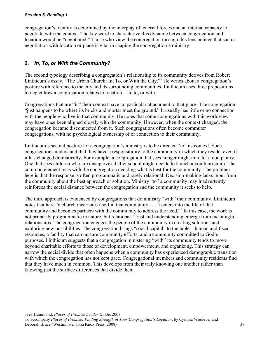congregation's identity is determined by the interplay of external forces and an internal capacity to negotiate with the context. The key word to characterize this dynamic between congregation and location would be "negotiated." Those who view the congregation through this lens believe that such a negotiation with location or place is vital in shaping the congregation's ministry.

## **2.** *In, To, or With the Community?*

The second typology describing a congregation's relationship to its community derives from Robert Linthicum's essay, "The Urban Church: In, To, or With the City."<sup>6</sup> He writes about a congregation's posture with reference to the city and its surrounding communities. Linthicum uses three prepositions to depict how a congregation relates to location—in, to, or with.

Congregations that are "in" their context have no particular attachment to that place. The congregation "just happens to be where its bricks and mortar meet the ground." It usually has little or no connection with the people who live in that community. He notes that some congregations with this worldview may have once been aligned closely with the community. However, when the context changed, the congregation became disconnected from it. Such congregations often become commuter congregations, with no psychological ownership of or connection to their community.

Linthicum's second posture for a congregation's ministry is to be directed "to" its context. Such congregations understand that they have a responsibility to the community in which they reside, even if it has changed dramatically. For example, a congregation that sees hunger might initiate a food pantry. One that sees children who are unsupervised after school might decide to launch a youth program. The common element rests with the congregation deciding what is best for the community. The problem here is that the response is often programmatic and rarely relational. Decision-making lacks input from the community about the best approach or solution. Ministry "to" a community may inadvertently reinforces the social distance between the congregation and the community it seeks to help.

The third approach is evidenced by congregations that do ministry "with" their community. Linthicum notes that here "a church incarnates itself in that community . . . it enters into the life of that community and becomes partners with the community to address the need."<sup>7</sup> In this case, the work is not primarily programmatic in nature, but relational. Trust and understanding emerge from meaningful relationships. The congregation engages the people of the community in creating solutions and exploring new possibilities. The congregation brings "social capital" to the table—human and fiscal resources, a facility that can nurture community efforts, and a community committed to God's purposes. Linthicum suggests that a congregation ministering "with" its community tends to move beyond charitable efforts to those of development, empowerment, and organizing. This strategy can narrow the social divide that often happens when a community has experienced demographic transition with which the congregation has not kept pace. Congregational members and community residents find that they have much in common. This develops from their truly knowing one another rather than knowing just the surface differences that divide them.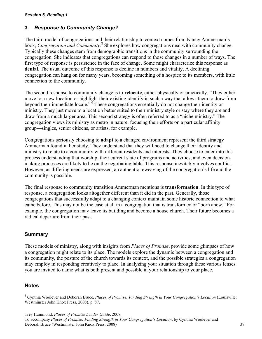## **3.** *Response to Community Change?*

The third model of congregations and their relationship to context comes from Nancy Ammerman's book, *Congregation and Community*.<sup>8</sup> She explores how congregations deal with community change. Typically these changes stem from demographic transitions in the community surrounding the congregation. She indicates that congregations can respond to those changes in a number of ways. The first type of response is persistence in the face of change. Some might characterize this response as **denial**. The usual outcome of this response is decline in numbers and vitality. A declining congregation can hang on for many years, becoming something of a hospice to its members, with little connection to the community.

The second response to community change is to **relocate**, either physically or practically. "They either move to a new location or highlight their existing identify in such a way that allows them to draw from beyond their immediate locale."<sup>9</sup> These congregations essentially do not change their identity or ministry. They just move to a location better suited to their ministry style or stay where they are and draw from a much larger area. This second strategy is often referred to as a "niche ministry." The congregation views its ministry as metro in nature, focusing their efforts on a particular affinity group—singles, senior citizens, or artists, for example.

Congregations seriously choosing to **adapt** to a changed environment represent the third strategy Ammerman found in her study. They understand that they will need to change their identity and ministry to relate to a community with different residents and interests. They choose to enter into this process understanding that worship, their current slate of programs and activities, and even decisionmaking processes are likely to be on the negotiating table. This response inevitably involves conflict. However, as differing needs are expressed, an authentic reweaving of the congregation's life and the community is possible.

The final response to community transition Ammerman mentions is **transformation**. In this type of response, a congregation looks altogether different than it did in the past. Generally, those congregations that successfully adapt to a changing context maintain some historic connection to what came before. This may not be the case at all in a congregation that is transformed or "born anew." For example, the congregation may leave its building and become a house church. Their future becomes a radical departure from their past.

## **Summary**

These models of ministry, along with insights from *Places of Promise*, provide some glimpses of how a congregation might relate to its place. The models explore the dynamic between a congregation and its community, the posture of the church towards its context, and the possible strategies a congregation may employ in responding creatively to place. In analyzing your situation through these various lenses you are invited to name what is both present and possible in your relationship to your place.

## **Notes**

<sup>1</sup> Cynthia Woolever and Deborah Bruce, *Places of Promise: Finding Strength in Your Congregation's Location* (Louisville: Westminster John Knox Press, 2008), p. 87.

Trey Hammond, *Places of Promise Leader Guide*, 2008

To accompany *Places of Promise: Finding Strength in Your Congregation's Location*, by Cynthia Woolever and Deborah Bruce (Westminster John Knox Press, 2008) 39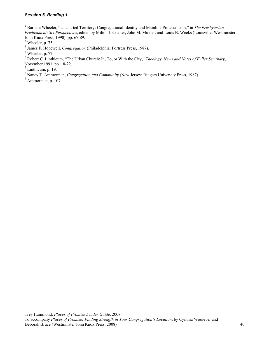2 Barbara Wheeler, "Uncharted Territory: Congregational Identity and Mainline Protestantism," in *The Presbyterian Predicament: Six Perspectives*, edited by Milton J. Coalter, John M. Mulder, and Louis B. Weeks (Louisville: Westminster John Knox Press, 1990), pp. 67-89.

 $3$  Wheeler, p. 75.

4 James F. Hopewell, *Congregation* (Philadelphia: Fortress Press, 1987).

 $<sup>5</sup>$  Wheeler, p. 77.</sup>

6 Robert C. Linthicum, "The Urban Church: In, To, or With the City," *Theology, News and Notes of Fuller Seminary*, November 1991, pp. 18-22.

 $<sup>7</sup>$  Linthicum, p. 19.</sup>

8 Nancy T. Ammerman, *Congregation and Community* (New Jersey: Rutgers University Press, 1987).

 $9 \frac{\text{Nunc}_J - \text{N}}{\text{Ammerman, p. 107}}$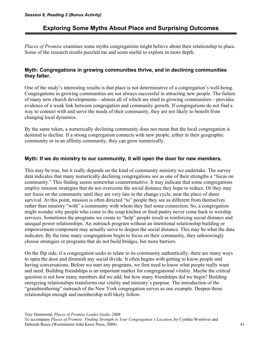## **Exploring Some Myths About Place and Surprising Outcomes**

*Places of Promise* examines some myths congregations might believe about their relationship to place. Some of the research results puzzled me and seem useful to explore in more depth.

### **Myth: Congregations in growing communities thrive, and in declining communities they falter.**

One of the study's interesting results is that place is not determinative of a congregation's well-being. Congregations in growing communities are not always successful in attracting new people. The failure of many new church developments—almost all of which are sited in growing communities—provides evidence of a weak link between congregation and community growth. If congregations do not find a way to connect with and serve the needs of their community, they are not likely to benefit from changing local dynamics.

By the same token, a numerically declining community does not mean that the local congregation is destined to decline. If a strong congregation connects with new people, either in their geographic community or in an affinity community, they can grow numerically.

### **Myth: If we do ministry to our community, it will open the door for new members.**

This may be true, but it really depends on the kind of community ministry we undertake. The survey data indicates that many numerically declining congregations see as one of their strengths a "focus on community." This finding seems somewhat counterintuitive. It may indicate that some congregations employ mission strategies that do not overcome the social distance they hope to reduce. Or they may not focus on the community until they are very late in the change cycle, near the place of sheer survival. At this point, mission is often directed "to" people they see as different from themselves rather than ministry "with" a community with whom they feel some connection. So, a congregation might wonder why people who come to the soup kitchen or food pantry never come back to worship services. Sometimes the programs we create to "help" people result in reinforcing social distance and unequal power relationships. An outreach program without an intentional relationship building or empowerment component may actually serve to deepen the social distance. This may be what the data indicates. By the time many congregations begin to focus on their community, they unknowingly choose strategies or programs that do not build bridges, but more barriers.

On the flip side, if a congregation seeks to relate to its community authentically, there are many ways to open the door and diminish any social divide. It often begins with getting to know people and having conversations. Before we start any programs, we first need to know what people really want and need. Building friendships is an important marker for congregational vitality. Maybe the critical question is not how many members did we add, but how many friendships did we begin? Building energizing relationships transforms our vitality and ministry's purpose. The introduction of the "grandmothering" outreach of the New York congregation serves as one example. Deepen those relationships enough and membership will likely follow.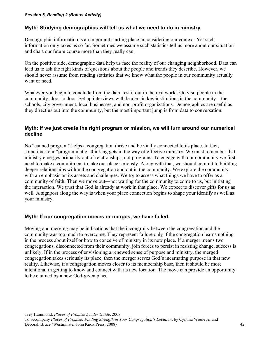#### *Session 6, Reading 2 (Bonus Activity)*

### **Myth: Studying demographics will tell us what we need to do in ministry.**

Demographic information is an important starting place in considering our context. Yet such information only takes us so far. Sometimes we assume such statistics tell us more about our situation and chart our future course more than they really can.

On the positive side, demographic data help us face the reality of our changing neighborhood. Data can lead us to ask the right kinds of questions about the people and trends they describe. However, we should never assume from reading statistics that we know what the people in our community actually want or need.

Whatever you begin to conclude from the data, test it out in the real world. Go visit people in the community, door to door. Set up interviews with leaders in key institutions in the community—the schools, city government, local businesses, and non-profit organizations. Demographics are useful as they direct us out into the community, but the most important jump is from data to conversation.

## **Myth: If we just create the right program or mission, we will turn around our numerical decline.**

No "canned program" helps a congregation thrive and be vitally connected to its place. In fact, sometimes our "programmatic" thinking gets in the way of effective ministry. We must remember that ministry emerges primarily out of relationships, not programs. To engage with our community we first need to make a commitment to take our place seriously. Along with that, we should commit to building deeper relationships within the congregation and out in the community. We explore the community with an emphasis on its assets and challenges. We try to assess what things we have to offer as a community of faith. Then we move out—not waiting for the community to come to us, but initiating the interaction. We trust that God is already at work in that place. We expect to discover gifts for us as well. A signpost along the way is when your place connection begins to shape your identify as well as your ministry.

### **Myth: If our congregation moves or merges, we have failed.**

Moving and merging may be indications that the incongruity between the congregation and the community was too much to overcome. They represent failure only if the congregation learns nothing in the process about itself or how to conceive of ministry in its new place. If a merger means two congregations, disconnected from their community, join forces to persist in resisting change, success is unlikely. If in the process of envisioning a renewed sense of purpose and ministry, the merged congregation takes seriously its place, then the merger serves God's incarnating purpose in that new reality. Likewise, if a congregation moves closer to its membership base, then it should be more intentional in getting to know and connect with its new location. The move can provide an opportunity to be claimed by a new God-given place.